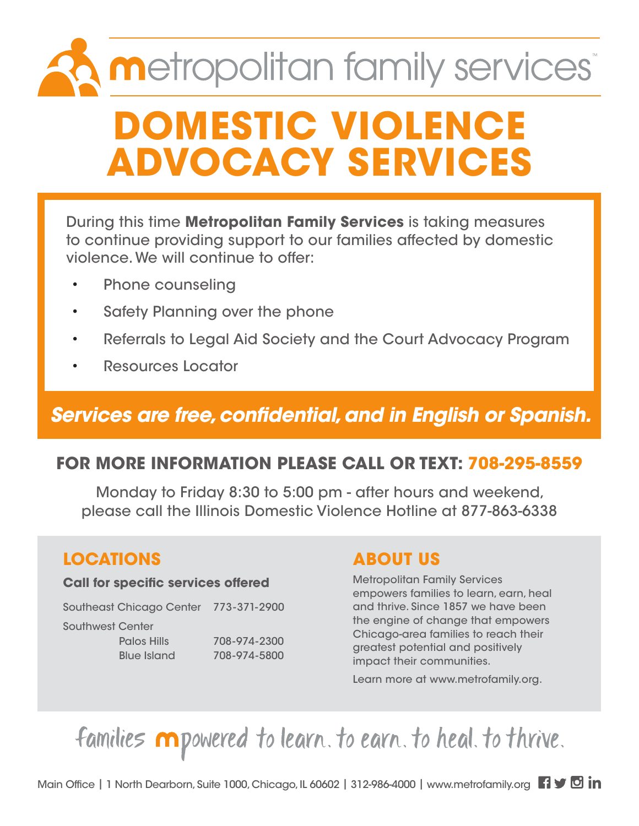# **metropolitan family services DOMESTIC VIOLENCE ADVOCACY SERVICES**

During this time **Metropolitan Family Services** is taking measures to continue providing support to our families affected by domestic violence. We will continue to offer:

- Phone counseling
- Safety Planning over the phone
- Referrals to Legal Aid Society and the Court Advocacy Program
- Resources Locator

# *Services are free, confidential, and in English or Spanish.*

### **FOR MORE INFORMATION PLEASE CALL OR TEXT: 708-295-8559**

Monday to Friday 8:30 to 5:00 pm - after hours and weekend, please call the Illinois Domestic Violence Hotline at 877-863-6338

### **LOCATIONS**

#### **Call for specific services offered**

Southeast Chicago Center 773-371-2900

Southwest Center

 Palos Hills 708-974-2300 Blue Island 708-974-5800

### **ABOUT US**

Metropolitan Family Services empowers families to learn, earn, heal and thrive. Since 1857 we have been the engine of change that empowers Chicago-area families to reach their greatest potential and positively impact their communities.

Learn more at www.metrofamily.org.

families mpowered to learn. to earn. to heal. to thrive.